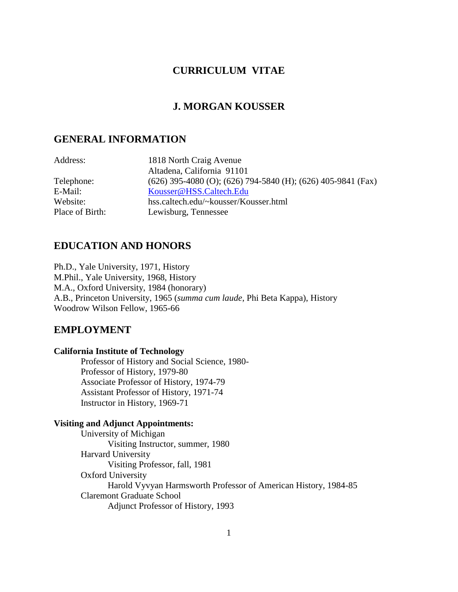# **CURRICULUM VITAE**

# **J. MORGAN KOUSSER**

## **GENERAL INFORMATION**

| Address:        | 1818 North Craig Avenue                                        |
|-----------------|----------------------------------------------------------------|
|                 | Altadena, California 91101                                     |
| Telephone:      | $(626)$ 395-4080 (O); (626) 794-5840 (H); (626) 405-9841 (Fax) |
| E-Mail:         | Kousser@HSS.Caltech.Edu                                        |
| Website:        | hss.caltech.edu/~kousser/Kousser.html                          |
| Place of Birth: | Lewisburg, Tennessee                                           |

# **EDUCATION AND HONORS**

Ph.D., Yale University, 1971, History M.Phil., Yale University, 1968, History M.A., Oxford University, 1984 (honorary) A.B., Princeton University, 1965 (*summa cum laude*, Phi Beta Kappa), History Woodrow Wilson Fellow, 1965-66

# **EMPLOYMENT**

### **California Institute of Technology**

Professor of History and Social Science, 1980- Professor of History, 1979-80 Associate Professor of History, 1974-79 Assistant Professor of History, 1971-74 Instructor in History, 1969-71

### **Visiting and Adjunct Appointments:**

University of Michigan Visiting Instructor, summer, 1980 Harvard University Visiting Professor, fall, 1981 Oxford University Harold Vyvyan Harmsworth Professor of American History, 1984-85 Claremont Graduate School Adjunct Professor of History, 1993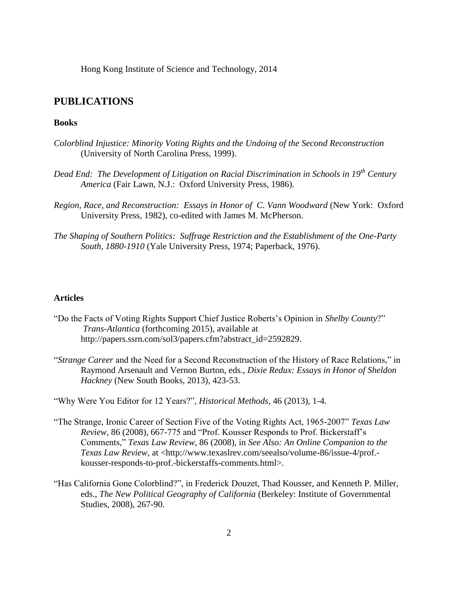Hong Kong Institute of Science and Technology, 2014

### **PUBLICATIONS**

### **Books**

- *Colorblind Injustice: Minority Voting Rights and the Undoing of the Second Reconstruction* (University of North Carolina Press, 1999).
- *Dead End: The Development of Litigation on Racial Discrimination in Schools in 19th Century America* (Fair Lawn, N.J.: Oxford University Press, 1986).
- *Region, Race, and Reconstruction: Essays in Honor of C. Vann Woodward* (New York: Oxford University Press, 1982), co-edited with James M. McPherson.
- *The Shaping of Southern Politics: Suffrage Restriction and the Establishment of the One-Party South, 1880-1910* (Yale University Press, 1974; Paperback, 1976).

#### **Articles**

- "Do the Facts of Voting Rights Support Chief Justice Roberts's Opinion in *Shelby County*?" *Trans-Atlantica* (forthcoming 2015), available at http://papers.ssrn.com/sol3/papers.cfm?abstract\_id=2592829.
- "*Strange Career* and the Need for a Second Reconstruction of the History of Race Relations," in Raymond Arsenault and Vernon Burton, eds., *Dixie Redux: Essays in Honor of Sheldon Hackney* (New South Books, 2013), 423-53.

"Why Were You Editor for 12 Years?", *Historical Methods*, 46 (2013), 1-4.

- "The Strange, Ironic Career of Section Five of the Voting Rights Act, 1965-2007" *Texas Law Review*, 86 (2008), 667-775 and "Prof. Kousser Responds to Prof. Bickerstaff's Comments," *Texas Law Review*, 86 (2008), in *See Also: An Online Companion to the Texas Law Review*, at <http://www.texaslrev.com/seealso/volume-86/issue-4/prof. kousser-responds-to-prof.-bickerstaffs-comments.html>.
- "Has California Gone Colorblind?", in Frederick Douzet, Thad Kousser, and Kenneth P. Miller, eds., *The New Political Geography of California* (Berkeley: Institute of Governmental Studies, 2008), 267-90.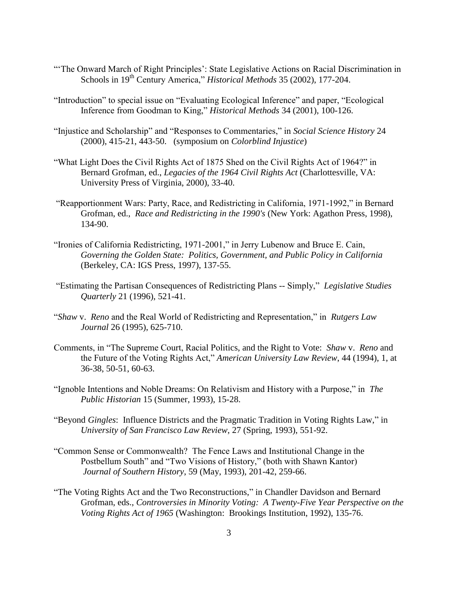- "The Onward March of Right Principles': State Legislative Actions on Racial Discrimination in Schools in 19<sup>th</sup> Century America," *Historical Methods* 35 (2002), 177-204.
- "Introduction" to special issue on "Evaluating Ecological Inference" and paper, "Ecological Inference from Goodman to King," *Historical Methods* 34 (2001), 100-126.
- "Injustice and Scholarship" and "Responses to Commentaries," in *Social Science History* 24 (2000), 415-21, 443-50. (symposium on *Colorblind Injustice*)
- "What Light Does the Civil Rights Act of 1875 Shed on the Civil Rights Act of 1964?" in Bernard Grofman, ed., *Legacies of the 1964 Civil Rights Act* (Charlottesville, VA: University Press of Virginia, 2000), 33-40.
- "Reapportionment Wars: Party, Race, and Redistricting in California, 1971-1992," in Bernard Grofman, ed., *Race and Redistricting in the 1990's* (New York: Agathon Press, 1998), 134-90.
- "Ironies of California Redistricting, 1971-2001," in Jerry Lubenow and Bruce E. Cain, *Governing the Golden State: Politics, Government, and Public Policy in California* (Berkeley, CA: IGS Press, 1997), 137-55.
- "Estimating the Partisan Consequences of Redistricting Plans -- Simply," *Legislative Studies Quarterly* 21 (1996), 521-41.
- "*Shaw* v. *Reno* and the Real World of Redistricting and Representation," in *Rutgers Law Journal* 26 (1995), 625-710.
- Comments, in "The Supreme Court, Racial Politics, and the Right to Vote: *Shaw* v. *Reno* and the Future of the Voting Rights Act," *American University Law Review*, 44 (1994), 1, at 36-38, 50-51, 60-63.
- "Ignoble Intentions and Noble Dreams: On Relativism and History with a Purpose," in *The Public Historian* 15 (Summer, 1993), 15-28.
- "Beyond *Gingles*: Influence Districts and the Pragmatic Tradition in Voting Rights Law," in *University of San Francisco Law Review*, 27 (Spring, 1993), 551-92.
- "Common Sense or Commonwealth? The Fence Laws and Institutional Change in the Postbellum South" and "Two Visions of History," (both with Shawn Kantor) *Journal of Southern History*, 59 (May, 1993), 201-42, 259-66.
- "The Voting Rights Act and the Two Reconstructions," in Chandler Davidson and Bernard Grofman, eds., *Controversies in Minority Voting: A Twenty-Five Year Perspective on the Voting Rights Act of 1965* (Washington: Brookings Institution, 1992), 135-76.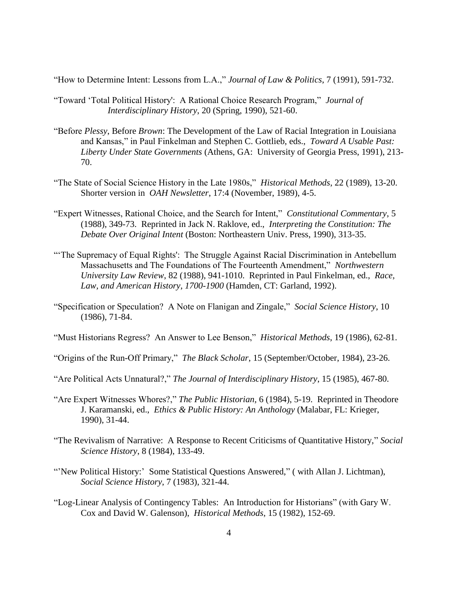"How to Determine Intent: Lessons from L.A.," *Journal of Law & Politics*, 7 (1991), 591-732.

- "Toward 'Total Political History': A Rational Choice Research Program," *Journal of Interdisciplinary History*, 20 (Spring, 1990), 521-60.
- "Before *Plessy*, Before *Brown*: The Development of the Law of Racial Integration in Louisiana and Kansas," in Paul Finkelman and Stephen C. Gottlieb, eds., *Toward A Usable Past: Liberty Under State Governments* (Athens, GA: University of Georgia Press, 1991), 213- 70.
- "The State of Social Science History in the Late 1980s," *Historical Methods*, 22 (1989), 13-20. Shorter version in *OAH Newsletter*, 17:4 (November, 1989), 4-5.
- "Expert Witnesses, Rational Choice, and the Search for Intent," *Constitutional Commentary*, 5 (1988), 349-73. Reprinted in Jack N. Raklove, ed., *Interpreting the Constitution: The Debate Over Original Intent* (Boston: Northeastern Univ. Press, 1990), 313-35.
- "'The Supremacy of Equal Rights': The Struggle Against Racial Discrimination in Antebellum Massachusetts and The Foundations of The Fourteenth Amendment," *Northwestern University Law Review*, 82 (1988), 941-1010. Reprinted in Paul Finkelman, ed., *Race, Law, and American History, 1700-1900* (Hamden, CT: Garland, 1992).
- "Specification or Speculation? A Note on Flanigan and Zingale," *Social Science History*, 10 (1986), 71-84.

"Must Historians Regress? An Answer to Lee Benson," *Historical Methods*, 19 (1986), 62-81.

"Origins of the Run-Off Primary," *The Black Scholar*, 15 (September/October, 1984), 23-26.

"Are Political Acts Unnatural?," *The Journal of Interdisciplinary History*, 15 (1985), 467-80.

- "Are Expert Witnesses Whores?," *The Public Historian*, 6 (1984), 5-19. Reprinted in Theodore J. Karamanski, ed., *Ethics & Public History: An Anthology* (Malabar, FL: Krieger, 1990), 31-44.
- "The Revivalism of Narrative: A Response to Recent Criticisms of Quantitative History," *Social Science History*, 8 (1984), 133-49.
- "New Political History:' Some Statistical Questions Answered," (with Allan J. Lichtman), *Social Science History*, 7 (1983), 321-44.
- "Log-Linear Analysis of Contingency Tables: An Introduction for Historians" (with Gary W. Cox and David W. Galenson), *Historical Methods*, 15 (1982), 152-69.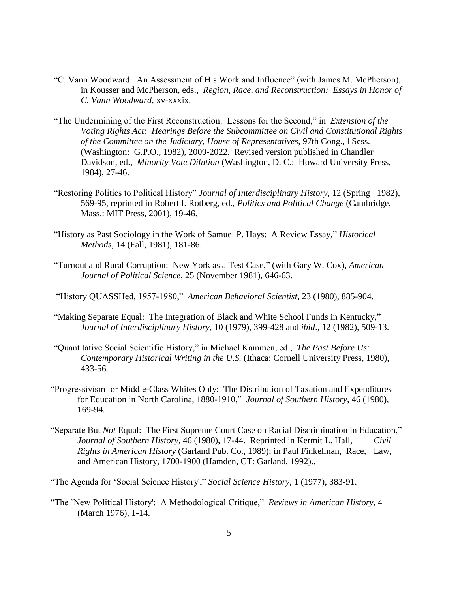- "C. Vann Woodward: An Assessment of His Work and Influence" (with James M. McPherson), in Kousser and McPherson, eds., *Region, Race, and Reconstruction: Essays in Honor of C. Vann Woodward*, xv-xxxix.
- "The Undermining of the First Reconstruction: Lessons for the Second," in *Extension of the Voting Rights Act: Hearings Before the Subcommittee on Civil and Constitutional Rights of the Committee on the Judiciary, House of Representatives*, 97th Cong., l Sess. (Washington: G.P.O., 1982), 2009-2022. Revised version published in Chandler Davidson, ed., *Minority Vote Dilution* (Washington, D. C.: Howard University Press, 1984), 27-46.
- "Restoring Politics to Political History" *Journal of Interdisciplinary History*, 12 (Spring 1982), 569-95, reprinted in Robert I. Rotberg, ed., *Politics and Political Change* (Cambridge, Mass.: MIT Press, 2001), 19-46.
- "History as Past Sociology in the Work of Samuel P. Hays: A Review Essay," *Historical Methods*, 14 (Fall, 1981), 181-86.
- "Turnout and Rural Corruption: New York as a Test Case," (with Gary W. Cox), *American Journal of Political Science*, 25 (November 1981), 646-63.

"History QUASSHed, 1957-1980," *American Behavioral Scientist*, 23 (1980), 885-904.

- "Making Separate Equal: The Integration of Black and White School Funds in Kentucky," *Journal of Interdisciplinary History*, 10 (1979), 399-428 and *ibid*., 12 (1982), 509-13.
- "Quantitative Social Scientific History," in Michael Kammen, ed., *The Past Before Us: Contemporary Historical Writing in the U.S.* (Ithaca: Cornell University Press, 1980), 433-56.
- "Progressivism for Middle-Class Whites Only: The Distribution of Taxation and Expenditures for Education in North Carolina, 1880-1910," *Journal of Southern History*, 46 (1980), 169-94.
- "Separate But *Not* Equal: The First Supreme Court Case on Racial Discrimination in Education," *Journal of Southern History*, 46 (1980), 17-44. Reprinted in Kermit L. Hall, *Civil Rights in American History* (Garland Pub. Co., 1989); in Paul Finkelman, Race, Law, and American History, 1700-1900 (Hamden, CT: Garland, 1992)..

"The Agenda for 'Social Science History'," *Social Science History*, 1 (1977), 383-91.

"The `New Political History': A Methodological Critique," *Reviews in American History*, 4 (March 1976), 1-14.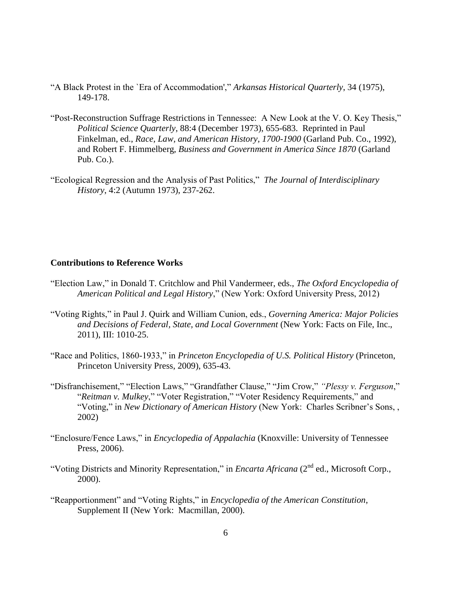- "A Black Protest in the `Era of Accommodation'," *Arkansas Historical Quarterly*, 34 (1975), 149-178.
- "Post-Reconstruction Suffrage Restrictions in Tennessee: A New Look at the V. O. Key Thesis," *Political Science Quarterly*, 88:4 (December 1973), 655-683. Reprinted in Paul Finkelman, ed., *Race, Law, and American History, 1700-1900* (Garland Pub. Co., 1992), and Robert F. Himmelberg, *Business and Government in America Since 1870* (Garland Pub. Co.).
- "Ecological Regression and the Analysis of Past Politics," *The Journal of Interdisciplinary History*, 4:2 (Autumn 1973), 237-262.

#### **Contributions to Reference Works**

- "Election Law," in Donald T. Critchlow and Phil Vandermeer, eds., *The Oxford Encyclopedia of American Political and Legal History*," (New York: Oxford University Press, 2012)
- "Voting Rights," in Paul J. Quirk and William Cunion, eds., *Governing America: Major Policies and Decisions of Federal, State, and Local Government* (New York: Facts on File, Inc., 2011), III: 1010-25.
- "Race and Politics, 1860-1933," in *Princeton Encyclopedia of U.S. Political History* (Princeton, Princeton University Press, 2009), 635-43.
- "Disfranchisement," "Election Laws," "Grandfather Clause," "Jim Crow," *"Plessy v. Ferguson*," "*Reitman v. Mulkey*," "Voter Registration," "Voter Residency Requirements," and "Voting," in *New Dictionary of American History* (New York: Charles Scribner's Sons, , 2002)
- "Enclosure/Fence Laws," in *Encyclopedia of Appalachia* (Knoxville: University of Tennessee Press, 2006).
- "Voting Districts and Minority Representation," in *Encarta Africana* (2nd ed., Microsoft Corp., 2000).
- "Reapportionment" and "Voting Rights," in *Encyclopedia of the American Constitution*, Supplement II (New York: Macmillan, 2000).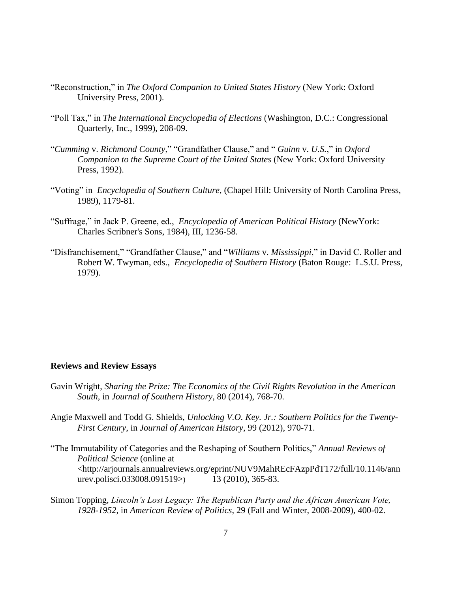- "Reconstruction," in *The Oxford Companion to United States History* (New York: Oxford University Press, 2001).
- "Poll Tax," in *The International Encyclopedia of Elections* (Washington, D.C.: Congressional Quarterly, Inc., 1999), 208-09.
- "*Cumming* v. *Richmond County*," "Grandfather Clause," and " *Guinn* v. *U.S.*," in *Oxford Companion to the Supreme Court of the United States* (New York: Oxford University Press, 1992).
- "Voting" in *Encyclopedia of Southern Culture*, (Chapel Hill: University of North Carolina Press, 1989), 1179-81.
- "Suffrage," in Jack P. Greene, ed., *Encyclopedia of American Political History* (NewYork: Charles Scribner's Sons, 1984), III, 1236-58.
- "Disfranchisement," "Grandfather Clause," and "*Williams* v. *Mississippi*," in David C. Roller and Robert W. Twyman, eds., *Encyclopedia of Southern History* (Baton Rouge: L.S.U. Press, 1979).

#### **Reviews and Review Essays**

- Gavin Wright, *Sharing the Prize: The Economics of the Civil Rights Revolution in the American South*, in *Journal of Southern History*, 80 (2014), 768-70.
- Angie Maxwell and Todd G. Shields, *Unlocking V.O. Key. Jr.: Southern Politics for the Twenty-First Century*, in *Journal of American History*, 99 (2012), 970-71.
- "The Immutability of Categories and the Reshaping of Southern Politics," *Annual Reviews of Political Science* (online at <http://arjournals.annualreviews.org/eprint/NUV9MahREcFAzpPdT172/full/10.1146/ann urev.polisci.033008.091519>) 13 (2010), 365-83.
- Simon Topping, *Lincoln's Lost Legacy: The Republican Party and the African American Vote, 1928-1952*, in *American Review of Politics*, 29 (Fall and Winter, 2008-2009), 400-02.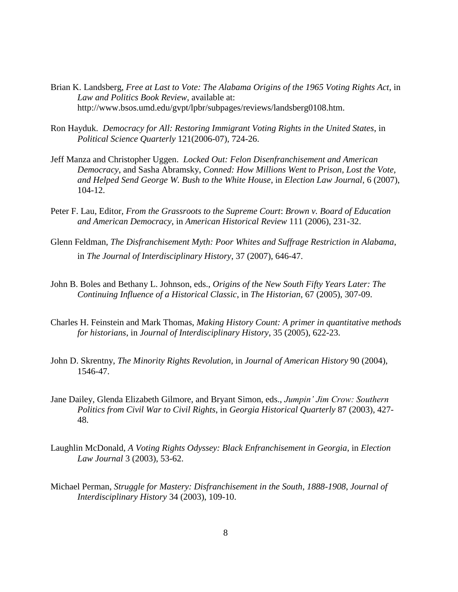- Brian K. Landsberg, *Free at Last to Vote: The Alabama Origins of the 1965 Voting Rights Act*, in *Law and Politics Book Review*, available at: http://www.bsos.umd.edu/gvpt/lpbr/subpages/reviews/landsberg0108.htm.
- Ron Hayduk. *Democracy for All: Restoring Immigrant Voting Rights in the United States*, in *Political Science Quarterly* 121(2006-07), 724-26.
- Jeff Manza and Christopher Uggen. *Locked Out: Felon Disenfranchisement and American Democracy*, and Sasha Abramsky, *Conned: How Millions Went to Prison, Lost the Vote, and Helped Send George W. Bush to the White House*, in *Election Law Journal*, 6 (2007), 104-12.
- Peter F. Lau, Editor, *From the Grassroots to the Supreme Court*: *Brown v. Board of Education and American Democracy*, in *American Historical Review* 111 (2006), 231-32.
- Glenn Feldman, *The Disfranchisement Myth: Poor Whites and Suffrage Restriction in Alabama*, in *The Journal of Interdisciplinary History*, 37 (2007), 646-47.
- John B. Boles and Bethany L. Johnson, eds., *Origins of the New South Fifty Years Later: The Continuing Influence of a Historical Classic*, in *The Historian*, 67 (2005), 307-09.
- Charles H. Feinstein and Mark Thomas, *Making History Count: A primer in quantitative methods for historians*, in *Journal of Interdisciplinary History*, 35 (2005), 622-23.
- John D. Skrentny, *The Minority Rights Revolution*, in *Journal of American History* 90 (2004), 1546-47.
- Jane Dailey, Glenda Elizabeth Gilmore, and Bryant Simon, eds., *Jumpin' Jim Crow: Southern Politics from Civil War to Civil Rights*, in *Georgia Historical Quarterly* 87 (2003), 427- 48.
- Laughlin McDonald, *A Voting Rights Odyssey: Black Enfranchisement in Georgia*, in *Election Law Journal* 3 (2003), 53-62.
- Michael Perman, *Struggle for Mastery: Disfranchisement in the South, 1888-1908*, *Journal of Interdisciplinary History* 34 (2003), 109-10.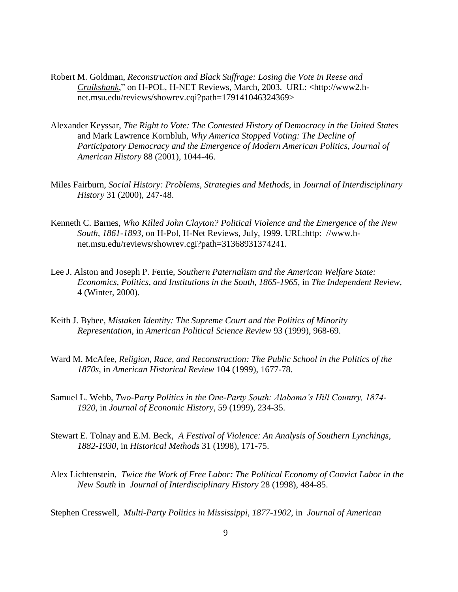- Robert M. Goldman, *Reconstruction and Black Suffrage: Losing the Vote in Reese and Cruikshank*," on H-POL, H-NET Reviews, March, 2003. URL: <http://www2.hnet.msu.edu/reviews/showrev.cqi?path=179141046324369>
- Alexander Keyssar, *The Right to Vote: The Contested History of Democracy in the United States* and Mark Lawrence Kornbluh, *Why America Stopped Voting: The Decline of Participatory Democracy and the Emergence of Modern American Politics*, *Journal of American History* 88 (2001), 1044-46.
- Miles Fairburn, *Social History: Problems, Strategies and Methods*, in *Journal of Interdisciplinary History* 31 (2000), 247-48.
- Kenneth C. Barnes, *Who Killed John Clayton? Political Violence and the Emergence of the New South, 1861-1893*, on H-Pol, H-Net Reviews, July, 1999. URL:http: //www.hnet.msu.edu/reviews/showrev.cgi?path=31368931374241.
- Lee J. Alston and Joseph P. Ferrie, *Southern Paternalism and the American Welfare State: Economics, Politics, and Institutions in the South, 1865-1965*, in *The Independent Review*, 4 (Winter, 2000).
- Keith J. Bybee, *Mistaken Identity: The Supreme Court and the Politics of Minority Representation*, in *American Political Science Review* 93 (1999), 968-69.
- Ward M. McAfee, *Religion, Race, and Reconstruction: The Public School in the Politics of the 1870s*, in *American Historical Review* 104 (1999), 1677-78.
- Samuel L. Webb, *Two-Party Politics in the One-Party South: Alabama's Hill Country, 1874- 1920*, in *Journal of Economic History*, 59 (1999), 234-35.
- Stewart E. Tolnay and E.M. Beck, *A Festival of Violence: An Analysis of Southern Lynchings, 1882-1930*, in *Historical Methods* 31 (1998), 171-75.
- Alex Lichtenstein, *Twice the Work of Free Labor: The Political Economy of Convict Labor in the New South* in *Journal of Interdisciplinary History* 28 (1998), 484-85.

Stephen Cresswell, *Multi-Party Politics in Mississippi, 1877-1902*, in *Journal of American*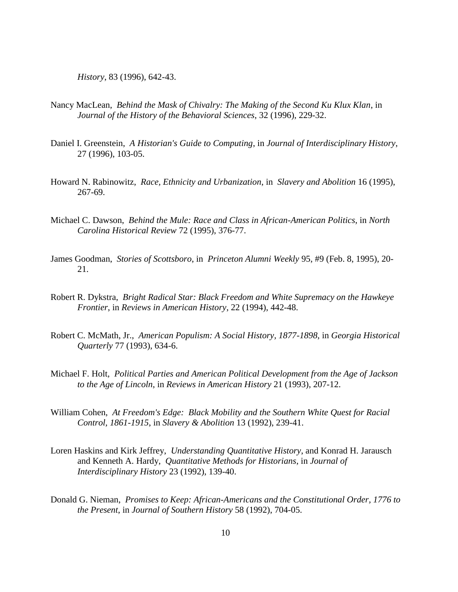*History*, 83 (1996), 642-43.

- Nancy MacLean, *Behind the Mask of Chivalry: The Making of the Second Ku Klux Klan*, in *Journal of the History of the Behavioral Sciences*, 32 (1996), 229-32.
- Daniel I. Greenstein, *A Historian's Guide to Computing*, in *Journal of Interdisciplinary History*, 27 (1996), 103-05.
- Howard N. Rabinowitz, *Race, Ethnicity and Urbanization*, in *Slavery and Abolition* 16 (1995), 267-69.
- Michael C. Dawson, *Behind the Mule: Race and Class in African-American Politics*, in *North Carolina Historical Review* 72 (1995), 376-77.
- James Goodman, *Stories of Scottsboro*, in *Princeton Alumni Weekly* 95, #9 (Feb. 8, 1995), 20- 21.
- Robert R. Dykstra, *Bright Radical Star: Black Freedom and White Supremacy on the Hawkeye Frontier*, in *Reviews in American History*, 22 (1994), 442-48.
- Robert C. McMath, Jr., *American Populism: A Social History, 1877-1898*, in *Georgia Historical Quarterly* 77 (1993), 634-6.
- Michael F. Holt, *Political Parties and American Political Development from the Age of Jackson to the Age of Lincoln*, in *Reviews in American History* 21 (1993), 207-12.
- William Cohen, *At Freedom's Edge: Black Mobility and the Southern White Quest for Racial Control, 1861-1915*, in *Slavery & Abolition* 13 (1992), 239-41.
- Loren Haskins and Kirk Jeffrey, *Understanding Quantitative History*, and Konrad H. Jarausch and Kenneth A. Hardy, *Quantitative Methods for Historians*, in *Journal of Interdisciplinary History* 23 (1992), 139-40.
- Donald G. Nieman, *Promises to Keep: African-Americans and the Constitutional Order, 1776 to the Present*, in *Journal of Southern History* 58 (1992), 704-05.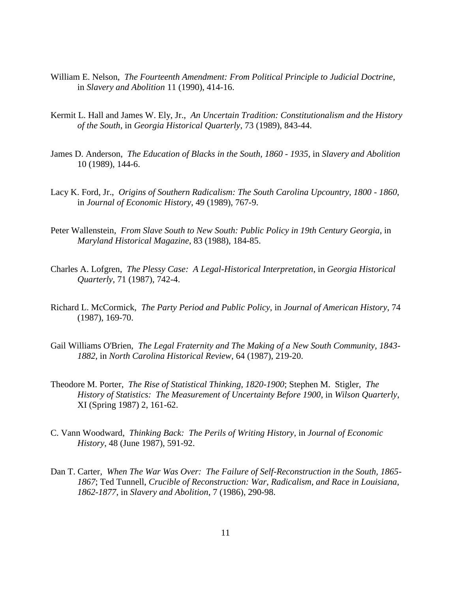- William E. Nelson, *The Fourteenth Amendment: From Political Principle to Judicial Doctrine*, in *Slavery and Abolition* 11 (1990), 414-16.
- Kermit L. Hall and James W. Ely, Jr., *An Uncertain Tradition: Constitutionalism and the History of the South*, in *Georgia Historical Quarterly*, 73 (1989), 843-44.
- James D. Anderson, *The Education of Blacks in the South, 1860 - 1935*, in *Slavery and Abolition* 10 (1989), 144-6.
- Lacy K. Ford, Jr., *Origins of Southern Radicalism: The South Carolina Upcountry, 1800 - 1860*, in *Journal of Economic History*, 49 (1989), 767-9.
- Peter Wallenstein, *From Slave South to New South: Public Policy in 19th Century Georgia*, in *Maryland Historical Magazine*, 83 (1988), 184-85.
- Charles A. Lofgren, *The Plessy Case: A Legal-Historical Interpretation*, in *Georgia Historical Quarterly*, 71 (1987), 742-4.
- Richard L. McCormick, *The Party Period and Public Policy*, in *Journal of American History*, 74 (1987), 169-70.
- Gail Williams O'Brien, *The Legal Fraternity and The Making of a New South Community, 1843- 1882*, in *North Carolina Historical Review*, 64 (1987), 219-20.
- Theodore M. Porter, *The Rise of Statistical Thinking, 1820-1900*; Stephen M. Stigler, *The History of Statistics: The Measurement of Uncertainty Before 1900*, in *Wilson Quarterly*, XI (Spring 1987) 2, 161-62.
- C. Vann Woodward, *Thinking Back: The Perils of Writing History*, in *Journal of Economic History*, 48 (June 1987), 591-92.
- Dan T. Carter, *When The War Was Over: The Failure of Self-Reconstruction in the South, 1865- 1867*; Ted Tunnell, *Crucible of Reconstruction: War, Radicalism, and Race in Louisiana, 1862-1877*, in *Slavery and Abolition*, 7 (1986), 290-98.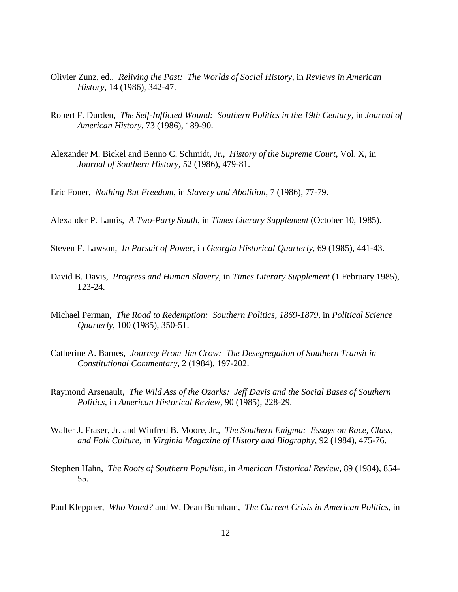- Olivier Zunz, ed., *Reliving the Past: The Worlds of Social History*, in *Reviews in American History*, 14 (1986), 342-47.
- Robert F. Durden, *The Self-Inflicted Wound: Southern Politics in the 19th Century*, in *Journal of American History*, 73 (1986), 189-90.
- Alexander M. Bickel and Benno C. Schmidt, Jr., *History of the Supreme Court*, Vol. X, in *Journal of Southern History*, 52 (1986), 479-81.

Eric Foner, *Nothing But Freedom*, in *Slavery and Abolition*, 7 (1986), 77-79.

Alexander P. Lamis, *A Two-Party South*, in *Times Literary Supplement* (October 10, 1985).

Steven F. Lawson, *In Pursuit of Power*, in *Georgia Historical Quarterly*, 69 (1985), 441-43.

- David B. Davis, *Progress and Human Slavery*, in *Times Literary Supplement* (1 February 1985), 123-24.
- Michael Perman, *The Road to Redemption: Southern Politics, 1869-1879*, in *Political Science Quarterly*, 100 (1985), 350-51.
- Catherine A. Barnes, *Journey From Jim Crow: The Desegregation of Southern Transit in Constitutional Commentary*, 2 (1984), 197-202.
- Raymond Arsenault, *The Wild Ass of the Ozarks: Jeff Davis and the Social Bases of Southern Politics*, in *American Historical Review*, 90 (1985), 228-29.
- Walter J. Fraser, Jr. and Winfred B. Moore, Jr., *The Southern Enigma: Essays on Race, Class, and Folk Culture*, in *Virginia Magazine of History and Biography*, 92 (1984), 475-76.
- Stephen Hahn, *The Roots of Southern Populism*, in *American Historical Review*, 89 (1984), 854- 55.

Paul Kleppner, *Who Voted?* and W. Dean Burnham, *The Current Crisis in American Politics*, in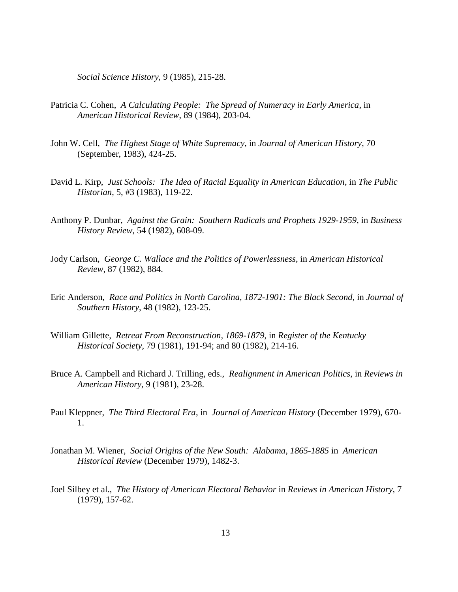*Social Science History*, 9 (1985), 215-28.

- Patricia C. Cohen, *A Calculating People: The Spread of Numeracy in Early America*, in *American Historical Review*, 89 (1984), 203-04.
- John W. Cell, *The Highest Stage of White Supremacy*, in *Journal of American History*, 70 (September, 1983), 424-25.
- David L. Kirp, *Just Schools: The Idea of Racial Equality in American Education*, in *The Public Historian*, 5, #3 (1983), 119-22.
- Anthony P. Dunbar, *Against the Grain: Southern Radicals and Prophets 1929-1959*, in *Business History Review*, 54 (1982), 608-09.
- Jody Carlson, *George C. Wallace and the Politics of Powerlessness*, in *American Historical Review*, 87 (1982), 884.
- Eric Anderson, *Race and Politics in North Carolina, 1872-1901: The Black Second*, in *Journal of Southern History*, 48 (1982), 123-25.
- William Gillette, *Retreat From Reconstruction, 1869-1879*, in *Register of the Kentucky Historical Society*, 79 (1981), 191-94; and 80 (1982), 214-16.
- Bruce A. Campbell and Richard J. Trilling, eds., *Realignment in American Politics*, in *Reviews in American History*, 9 (1981), 23-28.
- Paul Kleppner, *The Third Electoral Era*, in *Journal of American History* (December 1979), 670- 1.
- Jonathan M. Wiener, *Social Origins of the New South: Alabama, 1865-1885* in *American Historical Review* (December 1979), 1482-3.
- Joel Silbey et al., *The History of American Electoral Behavior* in *Reviews in American History*, 7 (1979), 157-62.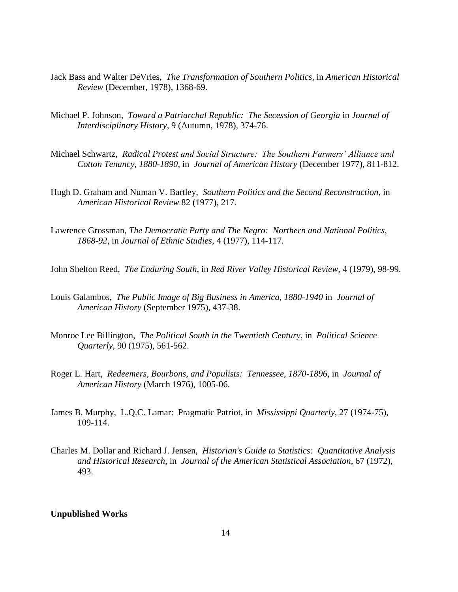- Jack Bass and Walter DeVries, *The Transformation of Southern Politics*, in *American Historical Review* (December, 1978), 1368-69.
- Michael P. Johnson, *Toward a Patriarchal Republic: The Secession of Georgia* in *Journal of Interdisciplinary History*, 9 (Autumn, 1978), 374-76.
- Michael Schwartz, *Radical Protest and Social Structure: The Southern Farmers' Alliance and Cotton Tenancy, 1880-1890*, in *Journal of American History* (December 1977), 811-812.
- Hugh D. Graham and Numan V. Bartley, *Southern Politics and the Second Reconstruction*, in *American Historical Review* 82 (1977), 217.
- Lawrence Grossman, *The Democratic Party and The Negro: Northern and National Politics, 1868-92*, in *Journal of Ethnic Studies*, 4 (1977), 114-117.
- John Shelton Reed, *The Enduring South*, in *Red River Valley Historical Review*, 4 (1979), 98-99.
- Louis Galambos, *The Public Image of Big Business in America, 1880-1940* in *Journal of American History* (September 1975), 437-38.
- Monroe Lee Billington, *The Political South in the Twentieth Century*, in *Political Science Quarterly*, 90 (1975), 561-562.
- Roger L. Hart, *Redeemers, Bourbons, and Populists: Tennessee, 1870-1896*, in *Journal of American History* (March 1976), 1005-06.
- James B. Murphy, L.Q.C. Lamar: Pragmatic Patriot, in *Mississippi Quarterly*, 27 (1974-75), 109-114.
- Charles M. Dollar and Richard J. Jensen, *Historian's Guide to Statistics: Quantitative Analysis and Historical Research*, in *Journal of the American Statistical Association*, 67 (1972), 493.

#### **Unpublished Works**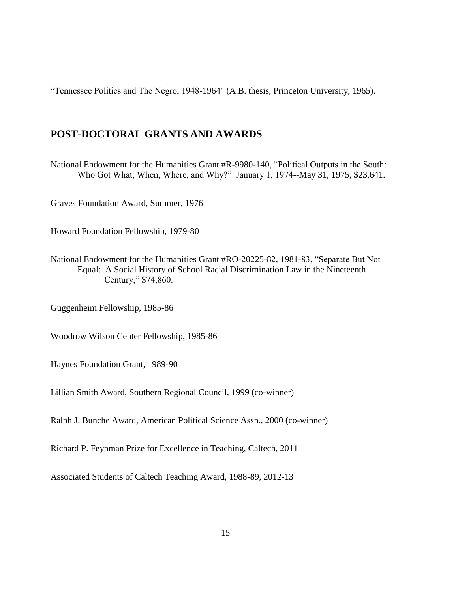"Tennessee Politics and The Negro, 1948-1964" (A.B. thesis, Princeton University, 1965).

# **POST-DOCTORAL GRANTS AND AWARDS**

National Endowment for the Humanities Grant #R-9980-140, "Political Outputs in the South: Who Got What, When, Where, and Why?" January 1, 1974--May 31, 1975, \$23,641.

Graves Foundation Award, Summer, 1976

Howard Foundation Fellowship, 1979-80

National Endowment for the Humanities Grant #RO-20225-82, 1981-83, "Separate But Not Equal: A Social History of School Racial Discrimination Law in the Nineteenth Century," \$74,860.

Guggenheim Fellowship, 1985-86

Woodrow Wilson Center Fellowship, 1985-86

Haynes Foundation Grant, 1989-90

Lillian Smith Award, Southern Regional Council, 1999 (co-winner)

Ralph J. Bunche Award, American Political Science Assn., 2000 (co-winner)

Richard P. Feynman Prize for Excellence in Teaching, Caltech, 2011

Associated Students of Caltech Teaching Award, 1988-89, 2012-13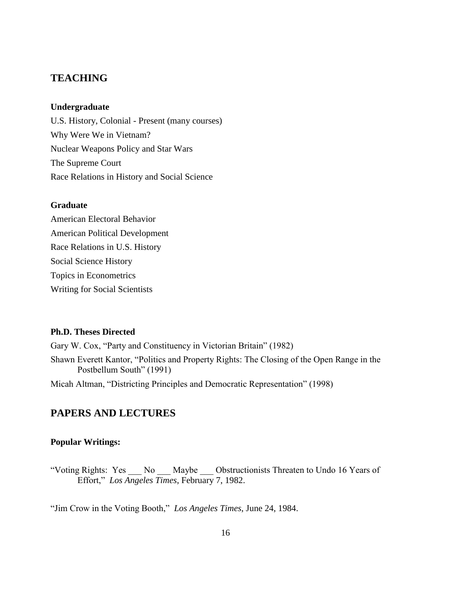# **TEACHING**

### **Undergraduate**

U.S. History, Colonial - Present (many courses) Why Were We in Vietnam? Nuclear Weapons Policy and Star Wars The Supreme Court Race Relations in History and Social Science

#### **Graduate**

American Electoral Behavior American Political Development Race Relations in U.S. History Social Science History Topics in Econometrics Writing for Social Scientists

### **Ph.D. Theses Directed**

Gary W. Cox, "Party and Constituency in Victorian Britain" (1982) Shawn Everett Kantor, "Politics and Property Rights: The Closing of the Open Range in the Postbellum South" (1991)

Micah Altman, "Districting Principles and Democratic Representation" (1998)

# **PAPERS AND LECTURES**

### **Popular Writings:**

"Voting Rights: Yes No Maybe Obstructionists Threaten to Undo 16 Years of Effort," *Los Angeles Times*, February 7, 1982.

"Jim Crow in the Voting Booth," *Los Angeles Times*, June 24, 1984.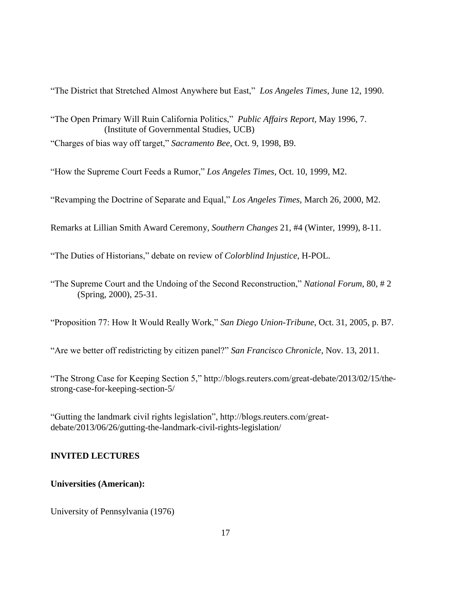"The District that Stretched Almost Anywhere but East," *Los Angeles Times*, June 12, 1990.

"The Open Primary Will Ruin California Politics," *Public Affairs Report*, May 1996, 7. (Institute of Governmental Studies, UCB)

"Charges of bias way off target," *Sacramento Bee*, Oct. 9, 1998, B9.

"How the Supreme Court Feeds a Rumor," *Los Angeles Times*, Oct. 10, 1999, M2.

"Revamping the Doctrine of Separate and Equal," *Los Angeles Times*, March 26, 2000, M2.

Remarks at Lillian Smith Award Ceremony, *Southern Changes* 21, #4 (Winter, 1999), 8-11.

"The Duties of Historians," debate on review of *Colorblind Injustice*, H-POL.

"The Supreme Court and the Undoing of the Second Reconstruction," *National Forum*, 80, # 2 (Spring, 2000), 25-31.

"Proposition 77: How It Would Really Work," *San Diego Union-Tribune*, Oct. 31, 2005, p. B7.

"Are we better off redistricting by citizen panel?" *San Francisco Chronicle*, Nov. 13, 2011.

"The Strong Case for Keeping Section 5," http://blogs.reuters.com/great-debate/2013/02/15/thestrong-case-for-keeping-section-5/

"Gutting the landmark civil rights legislation", http://blogs.reuters.com/greatdebate/2013/06/26/gutting-the-landmark-civil-rights-legislation/

## **INVITED LECTURES**

## **Universities (American):**

University of Pennsylvania (1976)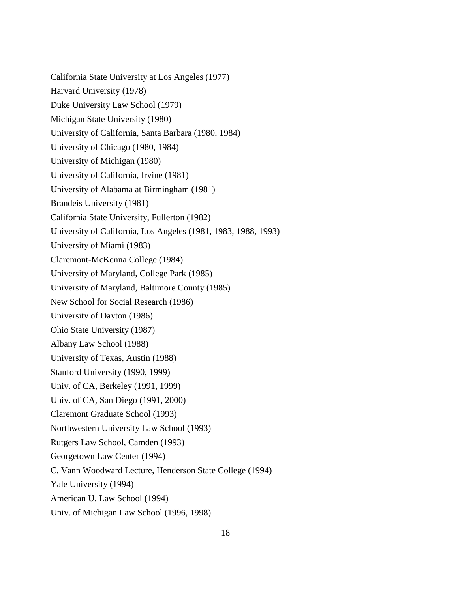California State University at Los Angeles (1977) Harvard University (1978) Duke University Law School (1979) Michigan State University (1980) University of California, Santa Barbara (1980, 1984) University of Chicago (1980, 1984) University of Michigan (1980) University of California, Irvine (1981) University of Alabama at Birmingham (1981) Brandeis University (1981) California State University, Fullerton (1982) University of California, Los Angeles (1981, 1983, 1988, 1993) University of Miami (1983) Claremont-McKenna College (1984) University of Maryland, College Park (1985) University of Maryland, Baltimore County (1985) New School for Social Research (1986) University of Dayton (1986) Ohio State University (1987) Albany Law School (1988) University of Texas, Austin (1988) Stanford University (1990, 1999) Univ. of CA, Berkeley (1991, 1999) Univ. of CA, San Diego (1991, 2000) Claremont Graduate School (1993) Northwestern University Law School (1993) Rutgers Law School, Camden (1993) Georgetown Law Center (1994) C. Vann Woodward Lecture, Henderson State College (1994) Yale University (1994) American U. Law School (1994) Univ. of Michigan Law School (1996, 1998)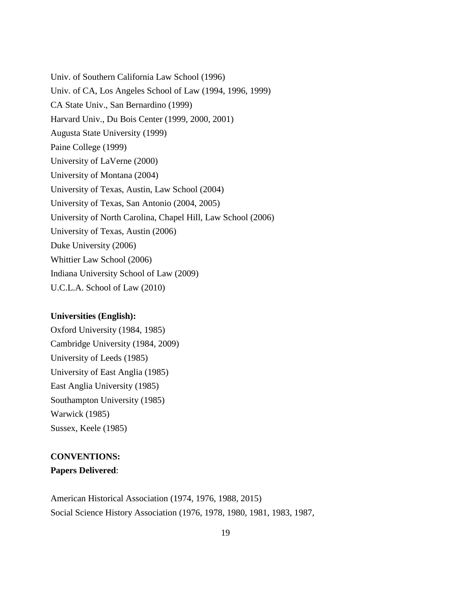Univ. of Southern California Law School (1996) Univ. of CA, Los Angeles School of Law (1994, 1996, 1999) CA State Univ., San Bernardino (1999) Harvard Univ., Du Bois Center (1999, 2000, 2001) Augusta State University (1999) Paine College (1999) University of LaVerne (2000) University of Montana (2004) University of Texas, Austin, Law School (2004) University of Texas, San Antonio (2004, 2005) University of North Carolina, Chapel Hill, Law School (2006) University of Texas, Austin (2006) Duke University (2006) Whittier Law School (2006) Indiana University School of Law (2009) U.C.L.A. School of Law (2010)

### **Universities (English):**

Oxford University (1984, 1985) Cambridge University (1984, 2009) University of Leeds (1985) University of East Anglia (1985) East Anglia University (1985) Southampton University (1985) Warwick (1985) Sussex, Keele (1985)

# **CONVENTIONS: Papers Delivered**:

American Historical Association (1974, 1976, 1988, 2015) Social Science History Association (1976, 1978, 1980, 1981, 1983, 1987,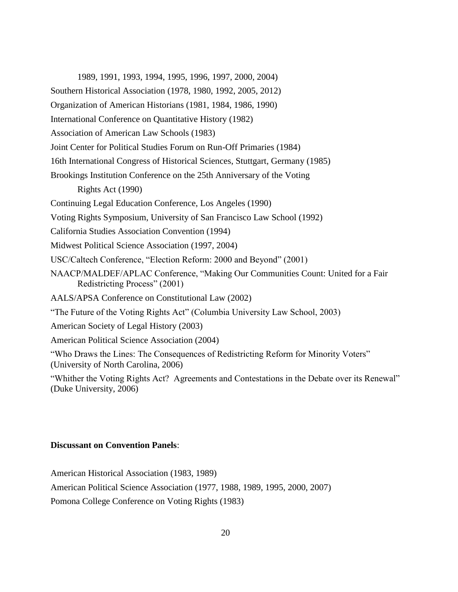1989, 1991, 1993, 1994, 1995, 1996, 1997, 2000, 2004)

Southern Historical Association (1978, 1980, 1992, 2005, 2012)

Organization of American Historians (1981, 1984, 1986, 1990)

International Conference on Quantitative History (1982)

Association of American Law Schools (1983)

Joint Center for Political Studies Forum on Run-Off Primaries (1984)

16th International Congress of Historical Sciences, Stuttgart, Germany (1985)

Brookings Institution Conference on the 25th Anniversary of the Voting

Rights Act (1990)

Continuing Legal Education Conference, Los Angeles (1990)

Voting Rights Symposium, University of San Francisco Law School (1992)

California Studies Association Convention (1994)

Midwest Political Science Association (1997, 2004)

USC/Caltech Conference, "Election Reform: 2000 and Beyond" (2001)

NAACP/MALDEF/APLAC Conference, "Making Our Communities Count: United for a Fair Redistricting Process" (2001)

AALS/APSA Conference on Constitutional Law (2002)

"The Future of the Voting Rights Act" (Columbia University Law School, 2003)

American Society of Legal History (2003)

American Political Science Association (2004)

"Who Draws the Lines: The Consequences of Redistricting Reform for Minority Voters" (University of North Carolina, 2006)

"Whither the Voting Rights Act? Agreements and Contestations in the Debate over its Renewal" (Duke University, 2006)

### **Discussant on Convention Panels**:

American Historical Association (1983, 1989)

American Political Science Association (1977, 1988, 1989, 1995, 2000, 2007)

Pomona College Conference on Voting Rights (1983)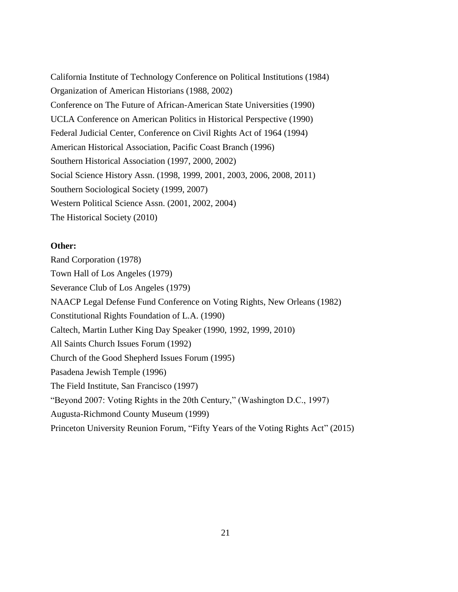California Institute of Technology Conference on Political Institutions (1984) Organization of American Historians (1988, 2002) Conference on The Future of African-American State Universities (1990) UCLA Conference on American Politics in Historical Perspective (1990) Federal Judicial Center, Conference on Civil Rights Act of 1964 (1994) American Historical Association, Pacific Coast Branch (1996) Southern Historical Association (1997, 2000, 2002) Social Science History Assn. (1998, 1999, 2001, 2003, 2006, 2008, 2011) Southern Sociological Society (1999, 2007) Western Political Science Assn. (2001, 2002, 2004) The Historical Society (2010)

### **Other:**

Rand Corporation (1978) Town Hall of Los Angeles (1979) Severance Club of Los Angeles (1979) NAACP Legal Defense Fund Conference on Voting Rights, New Orleans (1982) Constitutional Rights Foundation of L.A. (1990) Caltech, Martin Luther King Day Speaker (1990, 1992, 1999, 2010) All Saints Church Issues Forum (1992) Church of the Good Shepherd Issues Forum (1995) Pasadena Jewish Temple (1996) The Field Institute, San Francisco (1997) "Beyond 2007: Voting Rights in the 20th Century," (Washington D.C., 1997) Augusta-Richmond County Museum (1999) Princeton University Reunion Forum, "Fifty Years of the Voting Rights Act" (2015)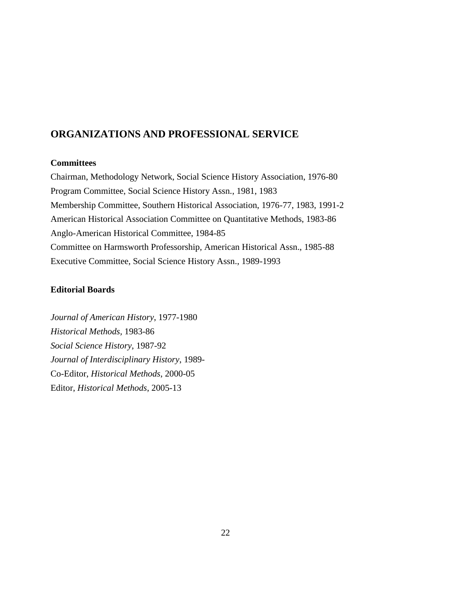# **ORGANIZATIONS AND PROFESSIONAL SERVICE**

### **Committees**

Chairman, Methodology Network, Social Science History Association, 1976-80 Program Committee, Social Science History Assn., 1981, 1983 Membership Committee, Southern Historical Association, 1976-77, 1983, 1991-2 American Historical Association Committee on Quantitative Methods, 1983-86 Anglo-American Historical Committee, 1984-85 Committee on Harmsworth Professorship, American Historical Assn., 1985-88 Executive Committee, Social Science History Assn., 1989-1993

### **Editorial Boards**

*Journal of American History*, 1977-1980 *Historical Methods,* 1983-86 *Social Science History*, 1987-92 *Journal of Interdisciplinary History*, 1989- Co-Editor, *Historical Methods*, 2000-05 Editor, *Historical Methods*, 2005-13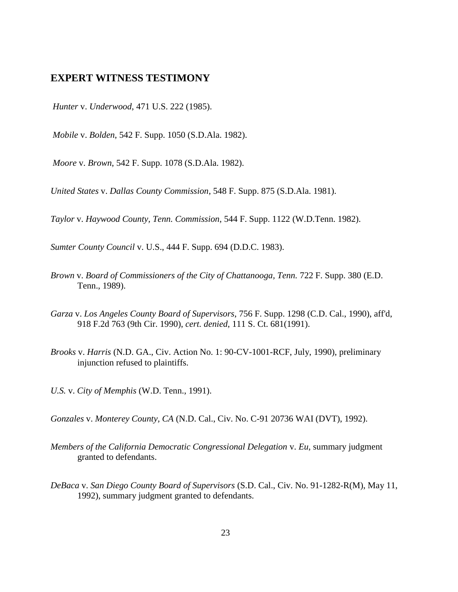### **EXPERT WITNESS TESTIMONY**

*Hunter* v. *Underwood*, 471 U.S. 222 (1985).

*Mobile* v. *Bolden*, 542 F. Supp. 1050 (S.D.Ala. 1982).

*Moore* v. *Brown*, 542 F. Supp. 1078 (S.D.Ala. 1982).

*United States* v. *Dallas County Commission*, 548 F. Supp. 875 (S.D.Ala. 1981).

*Taylor* v. *Haywood County, Tenn. Commission*, 544 F. Supp. 1122 (W.D.Tenn. 1982).

*Sumter County Council* v. U.S., 444 F. Supp. 694 (D.D.C. 1983).

- *Brown* v. *Board of Commissioners of the City of Chattanooga, Tenn.* 722 F. Supp. 380 (E.D. Tenn., 1989).
- *Garza* v. *Los Angeles County Board of Supervisors*, 756 F. Supp. 1298 (C.D. Cal., 1990), aff'd, 918 F.2d 763 (9th Cir. 1990), *cert. denied*, 111 S. Ct. 681(1991).
- *Brooks* v. *Harris* (N.D. GA., Civ. Action No. 1: 90-CV-1001-RCF, July, 1990), preliminary injunction refused to plaintiffs.
- *U.S.* v. *City of Memphis* (W.D. Tenn., 1991).

*Gonzales* v. *Monterey County, CA* (N.D. Cal., Civ. No. C-91 20736 WAI (DVT), 1992).

- *Members of the California Democratic Congressional Delegation* v. *Eu*, summary judgment granted to defendants.
- *DeBaca* v. *San Diego County Board of Supervisors* (S.D. Cal., Civ. No. 91-1282-R(M), May 11, 1992), summary judgment granted to defendants.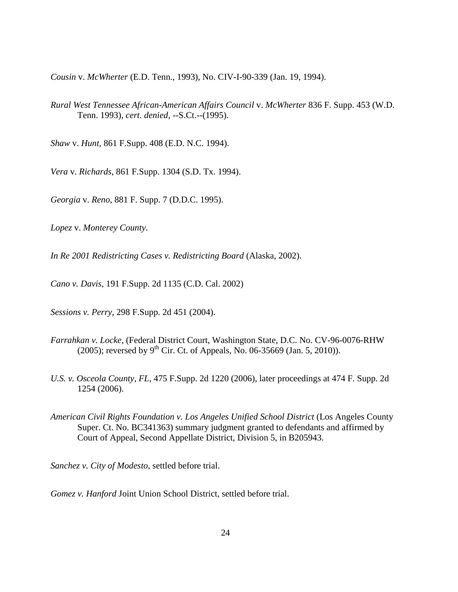*Cousin* v. *McWherter* (E.D. Tenn., 1993), No. CIV-I-90-339 (Jan. 19, 1994).

*Rural West Tennessee African-American Affairs Council* v. *McWherter* 836 F. Supp. 453 (W.D. Tenn. 1993), *cert. denied,* --S.Ct.--(1995).

*Shaw* v. *Hunt*, 861 F.Supp. 408 (E.D. N.C. 1994).

*Vera* v. *Richards*, 861 F.Supp. 1304 (S.D. Tx. 1994).

*Georgia* v. *Reno*, 881 F. Supp. 7 (D.D.C. 1995).

*Lopez* v. *Monterey County*.

*In Re 2001 Redistricting Cases v. Redistricting Board* (Alaska, 2002).

*Cano v. Davis*, 191 F.Supp. 2d 1135 (C.D. Cal. 2002)

*Sessions v. Perry*, 298 F.Supp. 2d 451 (2004).

- *Farrahkan v. Locke*, (Federal District Court, Washington State, D.C. No. CV-96-0076-RHW (2005); reversed by 9<sup>th</sup> Cir. Ct. of Appeals, No. 06-35669 (Jan. 5, 2010)).
- *U.S. v. Osceola County, FL*, 475 F.Supp. 2d 1220 (2006), later proceedings at 474 F. Supp. 2d 1254 (2006).
- *American Civil Rights Foundation v. Los Angeles Unified School District* (Los Angeles County Super. Ct. No. BC341363) summary judgment granted to defendants and affirmed by Court of Appeal, Second Appellate District, Division 5, in B205943.

*Sanchez v. City of Modesto*, settled before trial.

*Gomez v. Hanford* Joint Union School District, settled before trial.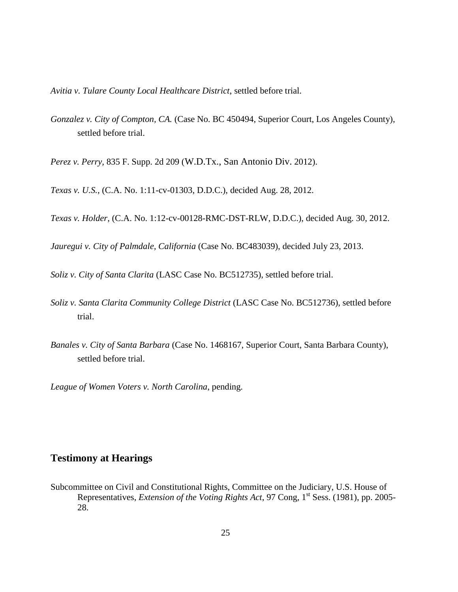*Avitia v. Tulare County Local Healthcare District*, settled before trial.

*Gonzalez v. City of Compton, CA.* (Case No. BC 450494, Superior Court, Los Angeles County), settled before trial.

*Perez v. Perry,* 835 F. Supp. 2d 209 (W.D.Tx., San Antonio Div. 2012).

*Texas v. U.S.*, (C.A. No. 1:11-cv-01303, D.D.C.), decided Aug. 28, 2012.

*Texas v. Holder*, (C.A. No. 1:12-cv-00128-RMC-DST-RLW, D.D.C.), decided Aug. 30, 2012.

*Jauregui v. City of Palmdale, California* (Case No. BC483039), decided July 23, 2013.

*Soliz v. City of Santa Clarita* (LASC Case No. BC512735), settled before trial.

- *Soliz v. Santa Clarita Community College District* (LASC Case No. BC512736), settled before trial.
- *Banales v. City of Santa Barbara* (Case No. 1468167, Superior Court, Santa Barbara County), settled before trial.

*League of Women Voters v. North Carolina*, pending.

# **Testimony at Hearings**

Subcommittee on Civil and Constitutional Rights, Committee on the Judiciary, U.S. House of Representatives, *Extension of the Voting Rights Act*, 97 Cong, 1<sup>st</sup> Sess. (1981), pp. 2005-28.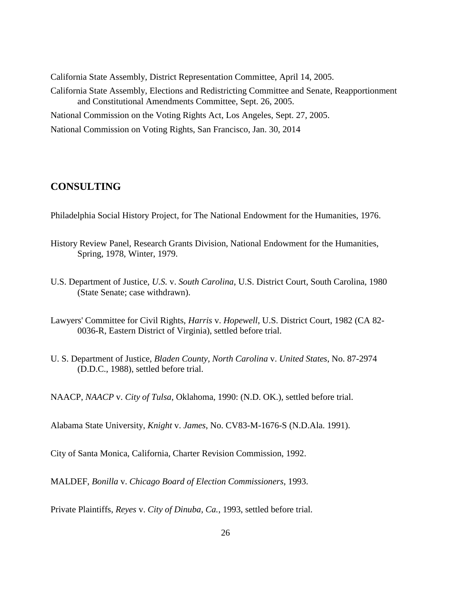California State Assembly, District Representation Committee, April 14, 2005. California State Assembly, Elections and Redistricting Committee and Senate, Reapportionment and Constitutional Amendments Committee, Sept. 26, 2005. National Commission on the Voting Rights Act, Los Angeles, Sept. 27, 2005. National Commission on Voting Rights, San Francisco, Jan. 30, 2014

# **CONSULTING**

Philadelphia Social History Project, for The National Endowment for the Humanities, 1976.

- History Review Panel, Research Grants Division, National Endowment for the Humanities, Spring, 1978, Winter, 1979.
- U.S. Department of Justice, *U.S.* v. *South Carolina*, U.S. District Court, South Carolina, 1980 (State Senate; case withdrawn).
- Lawyers' Committee for Civil Rights, *Harris* v. *Hopewell*, U.S. District Court, 1982 (CA 82- 0036-R, Eastern District of Virginia), settled before trial.
- U. S. Department of Justice, *Bladen County, North Carolina* v. *United States*, No. 87-2974 (D.D.C., 1988), settled before trial.

NAACP, *NAACP* v. *City of Tulsa*, Oklahoma, 1990: (N.D. OK.), settled before trial.

Alabama State University, *Knight* v. *James*, No. CV83-M-1676-S (N.D.Ala. 1991).

City of Santa Monica, California, Charter Revision Commission, 1992.

MALDEF, *Bonilla* v. *Chicago Board of Election Commissioners*, 1993.

Private Plaintiffs, *Reyes* v. *City of Dinuba, Ca.*, 1993, settled before trial.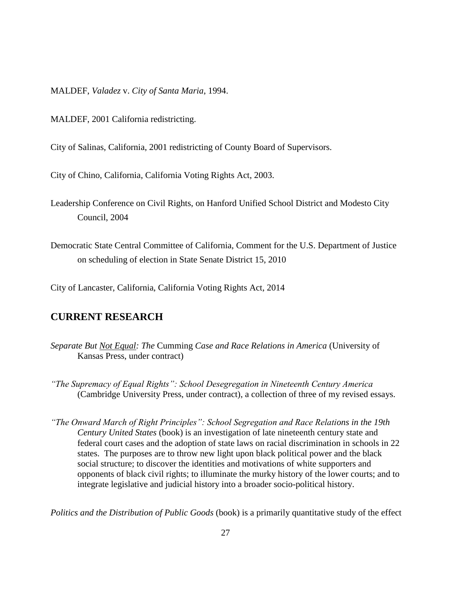MALDEF, *Valadez* v. *City of Santa Maria*, 1994.

MALDEF, 2001 California redistricting.

City of Salinas, California, 2001 redistricting of County Board of Supervisors.

City of Chino, California, California Voting Rights Act, 2003.

Leadership Conference on Civil Rights, on Hanford Unified School District and Modesto City Council, 2004

Democratic State Central Committee of California, Comment for the U.S. Department of Justice on scheduling of election in State Senate District 15, 2010

City of Lancaster, California, California Voting Rights Act, 2014

# **CURRENT RESEARCH**

- *Separate But Not Equal: The* Cumming *Case and Race Relations in America* (University of Kansas Press, under contract)
- *"The Supremacy of Equal Rights": School Desegregation in Nineteenth Century America* (Cambridge University Press, under contract), a collection of three of my revised essays.

*"The Onward March of Right Principles": School Segregation and Race Relations in the 19th Century United States* (book) is an investigation of late nineteenth century state and federal court cases and the adoption of state laws on racial discrimination in schools in 22 states. The purposes are to throw new light upon black political power and the black social structure; to discover the identities and motivations of white supporters and opponents of black civil rights; to illuminate the murky history of the lower courts; and to integrate legislative and judicial history into a broader socio-political history.

*Politics and the Distribution of Public Goods* (book) is a primarily quantitative study of the effect